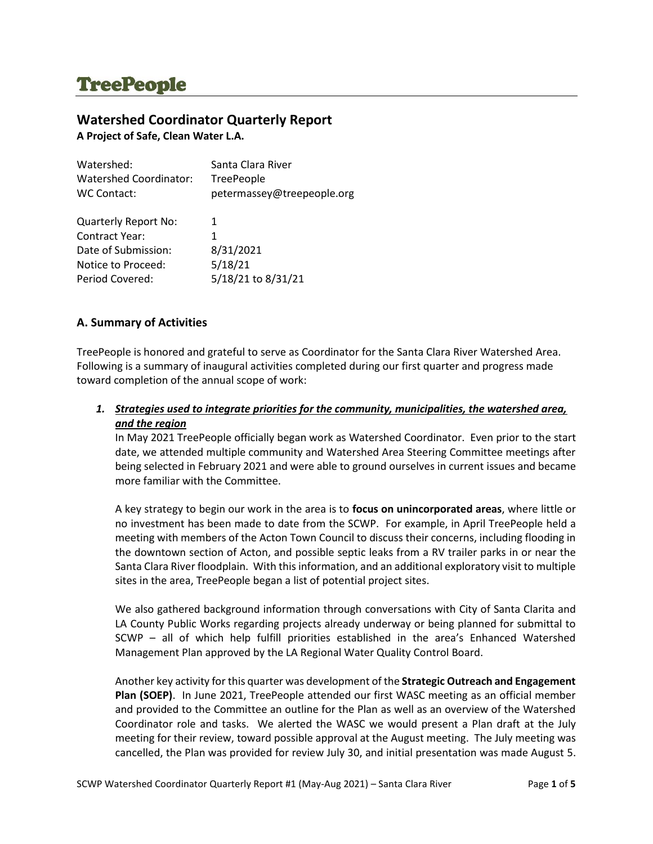# **TreePeople**

# **Watershed Coordinator Quarterly Report**

**A Project of Safe, Clean Water L.A.**

| Watershed:                  | Santa Clara River          |
|-----------------------------|----------------------------|
| Watershed Coordinator:      | TreePeople                 |
| WC Contact:                 | petermassey@treepeople.org |
|                             |                            |
| <b>Quarterly Report No:</b> | 1                          |
| <b>Contract Year:</b>       | 1                          |
| Date of Submission:         | 8/31/2021                  |
| Notice to Proceed:          | 5/18/21                    |
| Period Covered:             | 5/18/21 to 8/31/21         |

# **A. Summary of Activities**

TreePeople is honored and grateful to serve as Coordinator for the Santa Clara River Watershed Area. Following is a summary of inaugural activities completed during our first quarter and progress made toward completion of the annual scope of work:

# *1. Strategies used to integrate priorities for the community, municipalities, the watershed area, and the region*

In May 2021 TreePeople officially began work as Watershed Coordinator. Even prior to the start date, we attended multiple community and Watershed Area Steering Committee meetings after being selected in February 2021 and were able to ground ourselves in current issues and became more familiar with the Committee.

A key strategy to begin our work in the area is to **focus on unincorporated areas**, where little or no investment has been made to date from the SCWP. For example, in April TreePeople held a meeting with members of the Acton Town Council to discuss their concerns, including flooding in the downtown section of Acton, and possible septic leaks from a RV trailer parks in or near the Santa Clara River floodplain. With this information, and an additional exploratory visit to multiple sites in the area, TreePeople began a list of potential project sites.

We also gathered background information through conversations with City of Santa Clarita and LA County Public Works regarding projects already underway or being planned for submittal to SCWP – all of which help fulfill priorities established in the area's Enhanced Watershed Management Plan approved by the LA Regional Water Quality Control Board.

Another key activity for this quarter was development of the **Strategic Outreach and Engagement Plan (SOEP)**. In June 2021, TreePeople attended our first WASC meeting as an official member and provided to the Committee an outline for the Plan as well as an overview of the Watershed Coordinator role and tasks. We alerted the WASC we would present a Plan draft at the July meeting for their review, toward possible approval at the August meeting. The July meeting was cancelled, the Plan was provided for review July 30, and initial presentation was made August 5.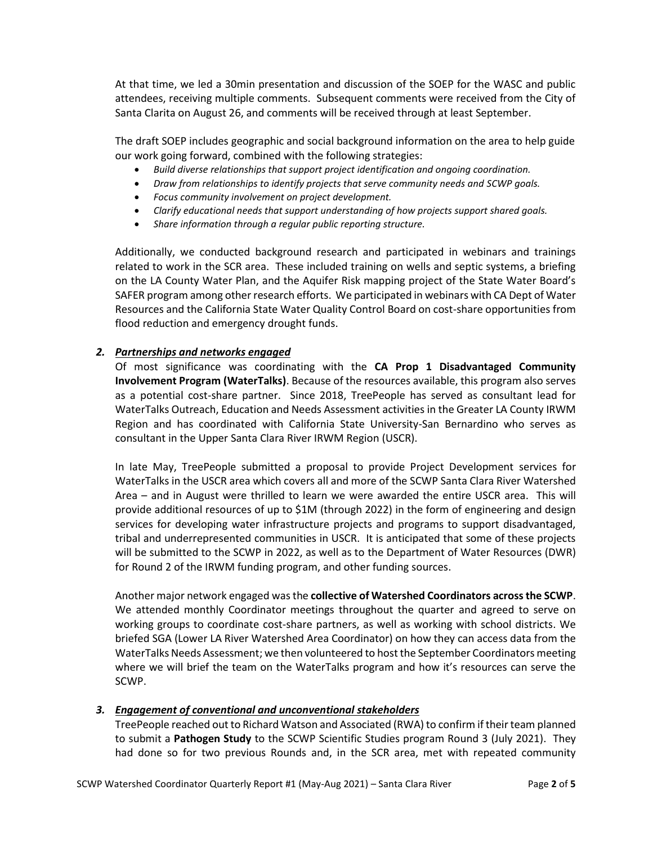At that time, we led a 30min presentation and discussion of the SOEP for the WASC and public attendees, receiving multiple comments. Subsequent comments were received from the City of Santa Clarita on August 26, and comments will be received through at least September.

The draft SOEP includes geographic and social background information on the area to help guide our work going forward, combined with the following strategies:

- *Build diverse relationships that support project identification and ongoing coordination.*
- *Draw from relationships to identify projects that serve community needs and SCWP goals.*
- *Focus community involvement on project development.*
- *Clarify educational needs that support understanding of how projects support shared goals.*
- *Share information through a regular public reporting structure.*

Additionally, we conducted background research and participated in webinars and trainings related to work in the SCR area. These included training on wells and septic systems, a briefing on the LA County Water Plan, and the Aquifer Risk mapping project of the State Water Board's SAFER program among other research efforts. We participated in webinars with CA Dept of Water Resources and the California State Water Quality Control Board on cost-share opportunities from flood reduction and emergency drought funds.

#### *2. Partnerships and networks engaged*

Of most significance was coordinating with the **CA Prop 1 Disadvantaged Community Involvement Program (WaterTalks)**. Because of the resources available, this program also serves as a potential cost-share partner. Since 2018, TreePeople has served as consultant lead for WaterTalks Outreach, Education and Needs Assessment activities in the Greater LA County IRWM Region and has coordinated with California State University-San Bernardino who serves as consultant in the Upper Santa Clara River IRWM Region (USCR).

In late May, TreePeople submitted a proposal to provide Project Development services for WaterTalks in the USCR area which covers all and more of the SCWP Santa Clara River Watershed Area – and in August were thrilled to learn we were awarded the entire USCR area. This will provide additional resources of up to \$1M (through 2022) in the form of engineering and design services for developing water infrastructure projects and programs to support disadvantaged, tribal and underrepresented communities in USCR. It is anticipated that some of these projects will be submitted to the SCWP in 2022, as well as to the Department of Water Resources (DWR) for Round 2 of the IRWM funding program, and other funding sources.

Another major network engaged was the **collective of Watershed Coordinators across the SCWP**. We attended monthly Coordinator meetings throughout the quarter and agreed to serve on working groups to coordinate cost-share partners, as well as working with school districts. We briefed SGA (Lower LA River Watershed Area Coordinator) on how they can access data from the WaterTalks Needs Assessment; we then volunteered to host the September Coordinators meeting where we will brief the team on the WaterTalks program and how it's resources can serve the SCWP.

## *3. Engagement of conventional and unconventional stakeholders*

TreePeople reached out to Richard Watson and Associated (RWA) to confirm if their team planned to submit a **Pathogen Study** to the SCWP Scientific Studies program Round 3 (July 2021). They had done so for two previous Rounds and, in the SCR area, met with repeated community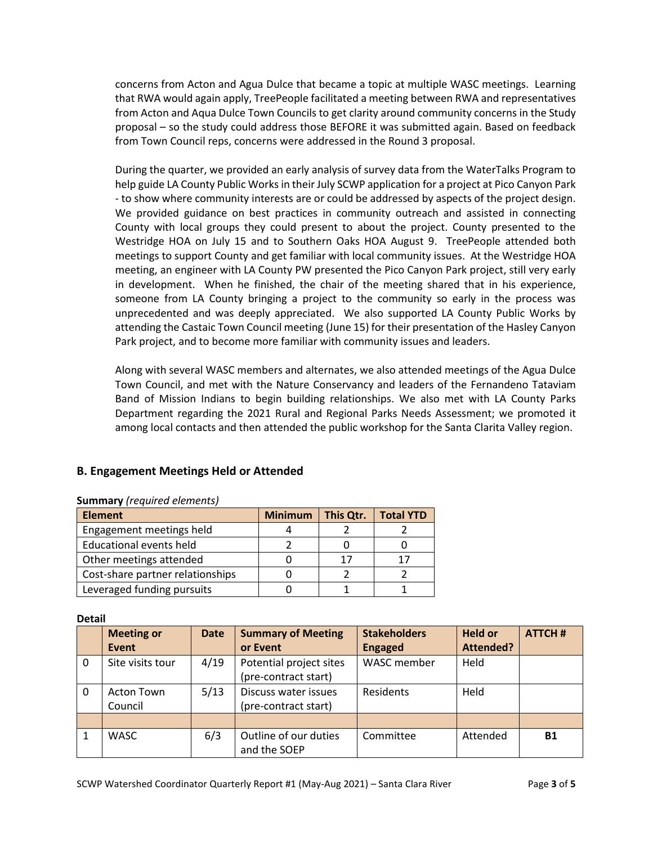concerns from Acton and Agua Dulce that became a topic at multiple WASC meetings. Learning that RWA would again apply, TreePeople facilitated a meeting between RWA and representatives from Acton and Aqua Dulce Town Councils to get clarity around community concerns in the Study proposal – so the study could address those BEFORE it was submitted again. Based on feedback from Town Council reps, concerns were addressed in the Round 3 proposal.

During the quarter, we provided an early analysis of survey data from the WaterTalks Program to help guide LA County Public Works in their July SCWP application for a project at Pico Canyon Park - to show where community interests are or could be addressed by aspects of the project design. We provided guidance on best practices in community outreach and assisted in connecting County with local groups they could present to about the project. County presented to the Westridge HOA on July 15 and to Southern Oaks HOA August 9. TreePeople attended both meetings to support County and get familiar with local community issues. At the Westridge HOA meeting, an engineer with LA County PW presented the Pico Canyon Park project, still very early in development. When he finished, the chair of the meeting shared that in his experience, someone from LA County bringing a project to the community so early in the process was unprecedented and was deeply appreciated. We also supported LA County Public Works by attending the Castaic Town Council meeting (June 15) for their presentation of the Hasley Canyon Park project, and to become more familiar with community issues and leaders.

Along with several WASC members and alternates, we also attended meetings of the Agua Dulce Town Council, and met with the Nature Conservancy and leaders of the Fernandeno Tataviam Band of Mission Indians to begin building relationships. We also met with LA County Parks Department regarding the 2021 Rural and Regional Parks Needs Assessment; we promoted it among local contacts and then attended the public workshop for the Santa Clarita Valley region.

# **B. Engagement Meetings Held or Attended**

| 3                                |                |           |                  |  |  |  |
|----------------------------------|----------------|-----------|------------------|--|--|--|
| <b>Element</b>                   | <b>Minimum</b> | This Qtr. | <b>Total YTD</b> |  |  |  |
| Engagement meetings held         |                |           |                  |  |  |  |
| <b>Educational events held</b>   |                |           |                  |  |  |  |
| Other meetings attended          |                | 17        |                  |  |  |  |
| Cost-share partner relationships |                |           |                  |  |  |  |
| Leveraged funding pursuits       |                |           |                  |  |  |  |

#### **Summary** *(required elements)*

**Detail**

|              | <b>Meeting or</b><br><b>Event</b> | <b>Date</b> | <b>Summary of Meeting</b><br>or Event           | <b>Stakeholders</b><br><b>Engaged</b> | <b>Held or</b><br>Attended? | <b>ATTCH#</b> |
|--------------|-----------------------------------|-------------|-------------------------------------------------|---------------------------------------|-----------------------------|---------------|
| $\mathbf{0}$ | Site visits tour                  | 4/19        | Potential project sites<br>(pre-contract start) | WASC member                           | Held                        |               |
| $\Omega$     | Acton Town<br>Council             | 5/13        | Discuss water issues<br>(pre-contract start)    | Residents                             | Held                        |               |
|              |                                   |             |                                                 |                                       |                             |               |
|              | <b>WASC</b>                       | 6/3         | Outline of our duties<br>and the SOEP           | Committee                             | Attended                    | <b>B1</b>     |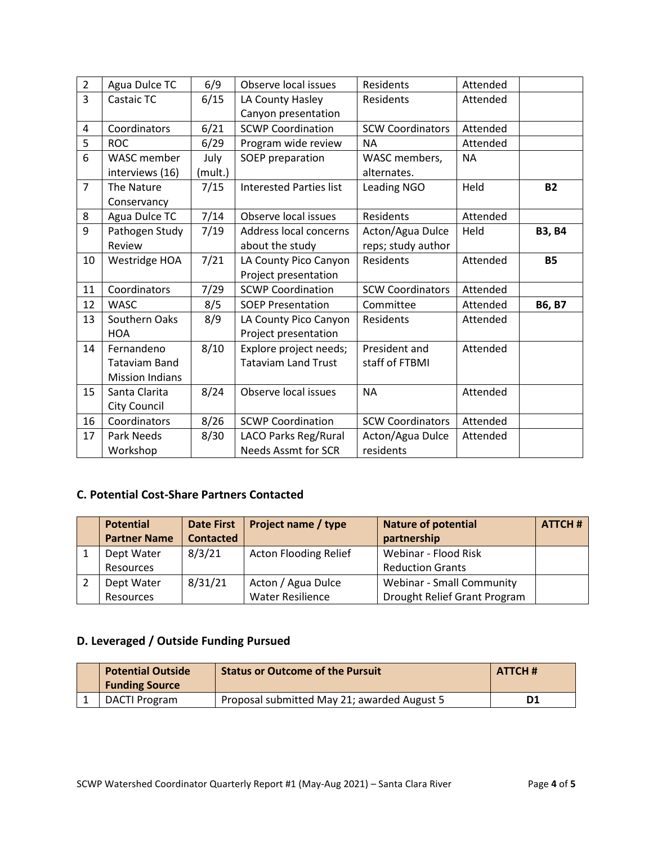| $\overline{2}$ | Agua Dulce TC          | 6/9     | Observe local issues           | Residents               | Attended  |               |
|----------------|------------------------|---------|--------------------------------|-------------------------|-----------|---------------|
| $\overline{3}$ | Castaic TC             | 6/15    | LA County Hasley               | Residents               | Attended  |               |
|                |                        |         | Canyon presentation            |                         |           |               |
| 4              | Coordinators           | 6/21    | <b>SCWP Coordination</b>       | <b>SCW Coordinators</b> | Attended  |               |
| 5              | <b>ROC</b>             | 6/29    | Program wide review            | <b>NA</b>               | Attended  |               |
| 6              | <b>WASC</b> member     | July    | SOEP preparation               | WASC members,           | <b>NA</b> |               |
|                | interviews (16)        | (mult.) |                                | alternates.             |           |               |
| $\overline{7}$ | The Nature             | 7/15    | <b>Interested Parties list</b> | <b>Leading NGO</b>      | Held      | <b>B2</b>     |
|                | Conservancy            |         |                                |                         |           |               |
| 8              | Agua Dulce TC          | 7/14    | Observe local issues           | Residents               | Attended  |               |
| 9              | Pathogen Study         | 7/19    | Address local concerns         | Acton/Agua Dulce        | Held      | <b>B3, B4</b> |
|                | Review                 |         | about the study                | reps; study author      |           |               |
| 10             | Westridge HOA          | 7/21    | LA County Pico Canyon          | Residents               | Attended  | <b>B5</b>     |
|                |                        |         | Project presentation           |                         |           |               |
| 11             | Coordinators           | 7/29    | <b>SCWP Coordination</b>       | <b>SCW Coordinators</b> | Attended  |               |
| 12             | <b>WASC</b>            | 8/5     | <b>SOEP Presentation</b>       | Committee               | Attended  | <b>B6, B7</b> |
| 13             | Southern Oaks          | 8/9     | LA County Pico Canyon          | Residents               | Attended  |               |
|                | <b>HOA</b>             |         | Project presentation           |                         |           |               |
| 14             | Fernandeno             | 8/10    | Explore project needs;         | President and           | Attended  |               |
|                | <b>Tataviam Band</b>   |         | <b>Tataviam Land Trust</b>     | staff of FTBMI          |           |               |
|                | <b>Mission Indians</b> |         |                                |                         |           |               |
| 15             | Santa Clarita          | 8/24    | Observe local issues           | <b>NA</b>               | Attended  |               |
|                | City Council           |         |                                |                         |           |               |
| 16             | Coordinators           | 8/26    | <b>SCWP Coordination</b>       | <b>SCW Coordinators</b> | Attended  |               |
| 17             | Park Needs             | 8/30    | LACO Parks Reg/Rural           | Acton/Agua Dulce        | Attended  |               |
|                | Workshop               |         | <b>Needs Assmt for SCR</b>     | residents               |           |               |

# **C. Potential Cost-Share Partners Contacted**

| <b>Potential</b>    | <b>Date First</b> | <b>Project name / type</b>   | <b>Nature of potential</b>       | <b>ATTCH#</b> |
|---------------------|-------------------|------------------------------|----------------------------------|---------------|
| <b>Partner Name</b> | <b>Contacted</b>  |                              | partnership                      |               |
| Dept Water          | 8/3/21            | <b>Acton Flooding Relief</b> | Webinar - Flood Risk             |               |
| Resources           |                   |                              | <b>Reduction Grants</b>          |               |
| Dept Water          | 8/31/21           | Acton / Agua Dulce           | <b>Webinar - Small Community</b> |               |
| Resources           |                   | <b>Water Resilience</b>      | Drought Relief Grant Program     |               |

# **D. Leveraged / Outside Funding Pursued**

| <b>Potential Outside</b><br><b>Funding Source</b> | <b>Status or Outcome of the Pursuit</b>     | <b>ATTCH#</b> |
|---------------------------------------------------|---------------------------------------------|---------------|
| DACTI Program                                     | Proposal submitted May 21; awarded August 5 | D1            |